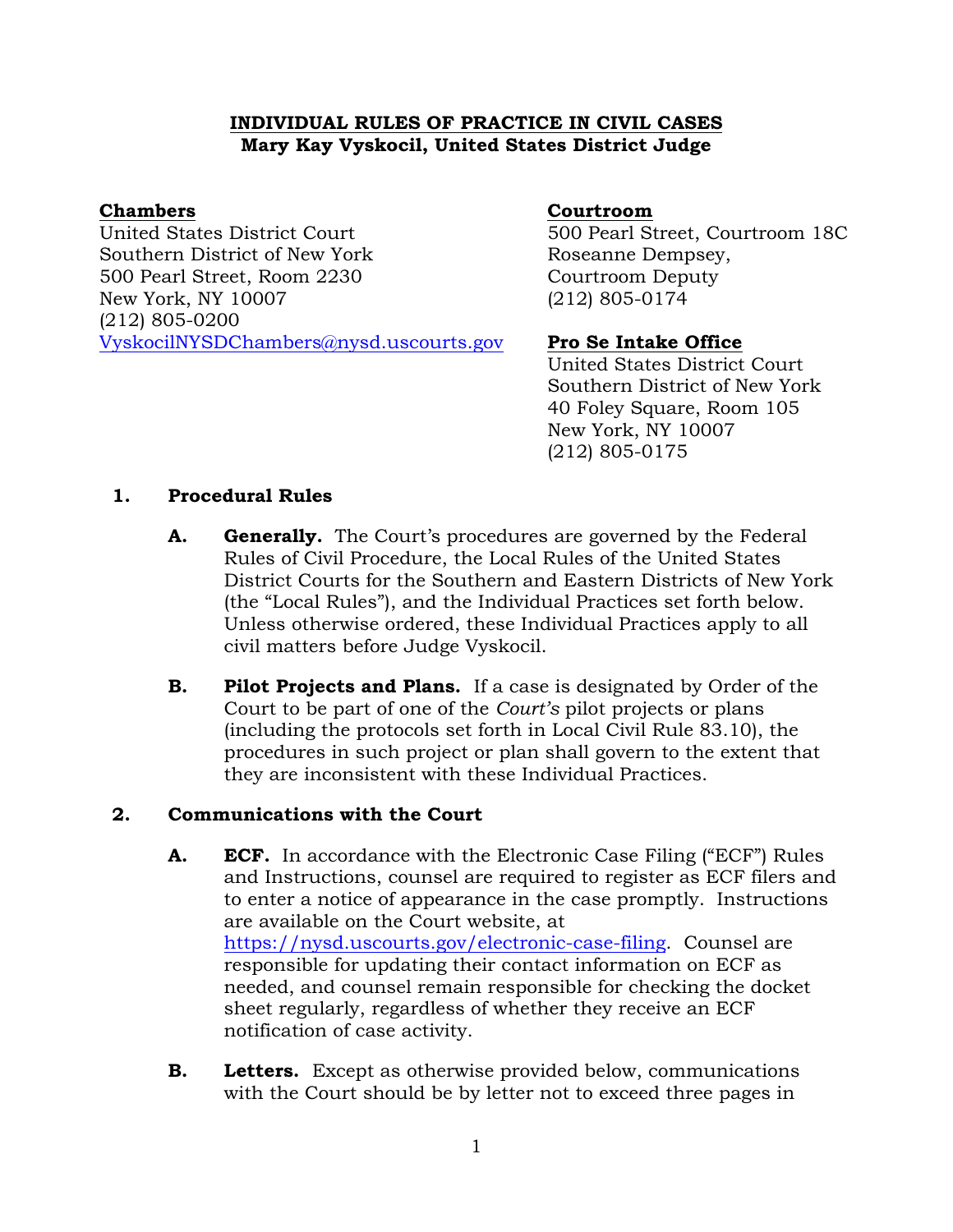# **INDIVIDUAL RULES OF PRACTICE IN CIVIL CASES Mary Kay Vyskocil, United States District Judge**

## **Chambers**

United States District Court Southern District of New York 500 Pearl Street, Room 2230 New York, NY 10007 (212) 805-0200 [VyskocilNYSDChambers@nysd.uscourts.gov](mailto:VyskocilNYSDChambers@nysd.uscourts.gov)

# **Courtroom**

500 Pearl Street, Courtroom 18C Roseanne Dempsey, Courtroom Deputy (212) 805-0174

# **Pro Se Intake Office**

United States District Court Southern District of New York 40 Foley Square, Room 105 New York, NY 10007 (212) 805-0175

# **1. Procedural Rules**

- **A. Generally.** The Court's procedures are governed by the Federal Rules of Civil Procedure, the Local Rules of the United States District Courts for the Southern and Eastern Districts of New York (the "Local Rules"), and the Individual Practices set forth below. Unless otherwise ordered, these Individual Practices apply to all civil matters before Judge Vyskocil.
- **B. Pilot Projects and Plans.** If a case is designated by Order of the Court to be part of one of the *Court's* pilot projects or plans (including the protocols set forth in Local Civil Rule 83.10), the procedures in such project or plan shall govern to the extent that they are inconsistent with these Individual Practices.

# **2. Communications with the Court**

- **A. ECF.** In accordance with the Electronic Case Filing ("ECF") Rules and Instructions, counsel are required to register as ECF filers and to enter a notice of appearance in the case promptly. Instructions are available on the Court website, at [https://nysd.uscourts.gov/electronic-case-filing.](https://nysd.uscourts.gov/electronic-case-filing) Counsel are responsible for updating their contact information on ECF as needed, and counsel remain responsible for checking the docket sheet regularly, regardless of whether they receive an ECF notification of case activity.
- **B. Letters.** Except as otherwise provided below, communications with the Court should be by letter not to exceed three pages in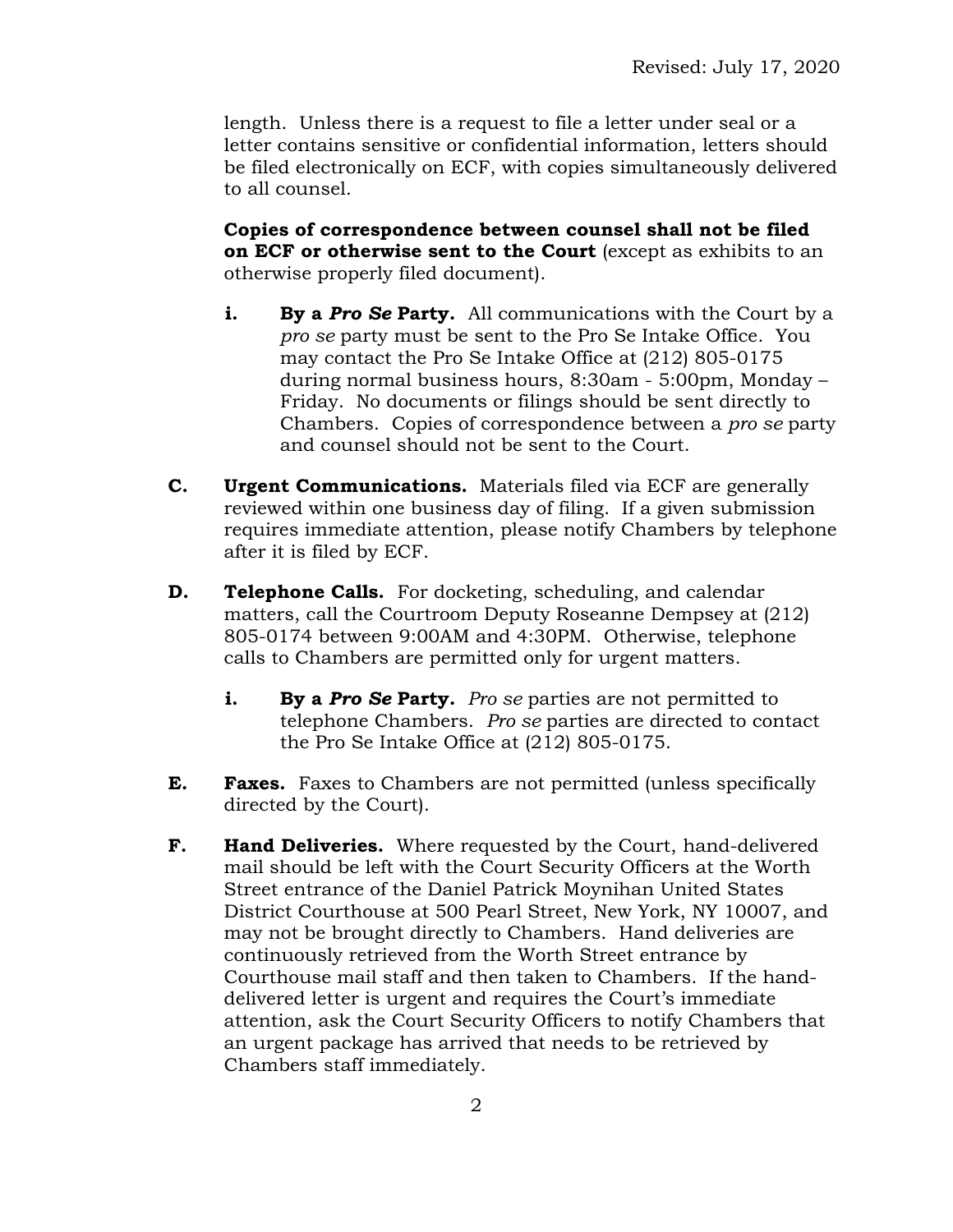length. Unless there is a request to file a letter under seal or a letter contains sensitive or confidential information, letters should be filed electronically on ECF, with copies simultaneously delivered to all counsel.

**Copies of correspondence between counsel shall not be filed on ECF or otherwise sent to the Court** (except as exhibits to an otherwise properly filed document).

- **i. By a Pro Se Party.** All communications with the Court by a *pro se* party must be sent to the Pro Se Intake Office. You may contact the Pro Se Intake Office at (212) 805-0175 during normal business hours, 8:30am - 5:00pm, Monday – Friday. No documents or filings should be sent directly to Chambers. Copies of correspondence between a *pro se* party and counsel should not be sent to the Court.
- **C. Urgent Communications.** Materials filed via ECF are generally reviewed within one business day of filing. If a given submission requires immediate attention, please notify Chambers by telephone after it is filed by ECF.
- **D. Telephone Calls.** For docketing, scheduling, and calendar matters, call the Courtroom Deputy Roseanne Dempsey at (212) 805-0174 between 9:00AM and 4:30PM. Otherwise, telephone calls to Chambers are permitted only for urgent matters.
	- **i. By a** *Pro Se* **Party.** *Pro se* parties are not permitted to telephone Chambers. *Pro se* parties are directed to contact the Pro Se Intake Office at (212) 805-0175.
- **E. Faxes.** Faxes to Chambers are not permitted (unless specifically directed by the Court).
- **F. Hand Deliveries.** Where requested by the Court, hand-delivered mail should be left with the Court Security Officers at the Worth Street entrance of the Daniel Patrick Moynihan United States District Courthouse at 500 Pearl Street, New York, NY 10007, and may not be brought directly to Chambers. Hand deliveries are continuously retrieved from the Worth Street entrance by Courthouse mail staff and then taken to Chambers. If the handdelivered letter is urgent and requires the Court's immediate attention, ask the Court Security Officers to notify Chambers that an urgent package has arrived that needs to be retrieved by Chambers staff immediately.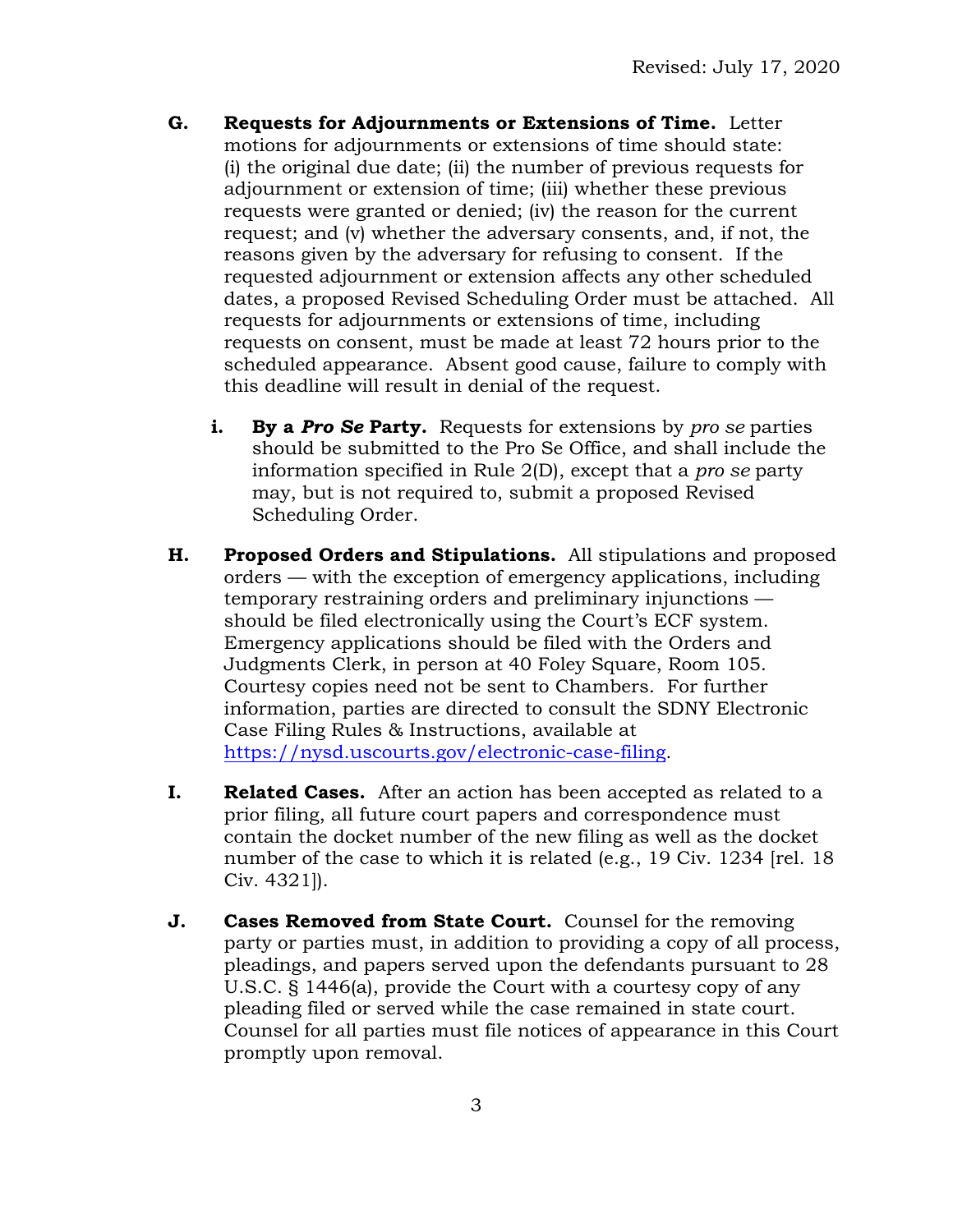- **G. Requests for Adjournments or Extensions of Time.** Letter motions for adjournments or extensions of time should state: (i) the original due date; (ii) the number of previous requests for adjournment or extension of time; (iii) whether these previous requests were granted or denied; (iv) the reason for the current request; and (v) whether the adversary consents, and, if not, the reasons given by the adversary for refusing to consent. If the requested adjournment or extension affects any other scheduled dates, a proposed Revised Scheduling Order must be attached. All requests for adjournments or extensions of time, including requests on consent, must be made at least 72 hours prior to the scheduled appearance. Absent good cause, failure to comply with this deadline will result in denial of the request.
	- **i. By a** *Pro Se* **Party.** Requests for extensions by *pro se* parties should be submitted to the Pro Se Office, and shall include the information specified in Rule 2(D), except that a *pro se* party may, but is not required to, submit a proposed Revised Scheduling Order.
- **H. Proposed Orders and Stipulations.** All stipulations and proposed orders — with the exception of emergency applications, including temporary restraining orders and preliminary injunctions should be filed electronically using the Court's ECF system. Emergency applications should be filed with the Orders and Judgments Clerk, in person at 40 Foley Square, Room 105. Courtesy copies need not be sent to Chambers. For further information, parties are directed to consult the SDNY Electronic Case Filing Rules & Instructions, available at [https://nysd.uscourts.gov/electronic-case-filing.](https://nysd.uscourts.gov/electronic-case-filing)
- **I. Related Cases.** After an action has been accepted as related to a prior filing, all future court papers and correspondence must contain the docket number of the new filing as well as the docket number of the case to which it is related (e.g., 19 Civ. 1234 [rel. 18 Civ. 4321]).
- **J. Cases Removed from State Court.** Counsel for the removing party or parties must, in addition to providing a copy of all process, pleadings, and papers served upon the defendants pursuant to 28 U.S.C. § 1446(a), provide the Court with a courtesy copy of any pleading filed or served while the case remained in state court. Counsel for all parties must file notices of appearance in this Court promptly upon removal.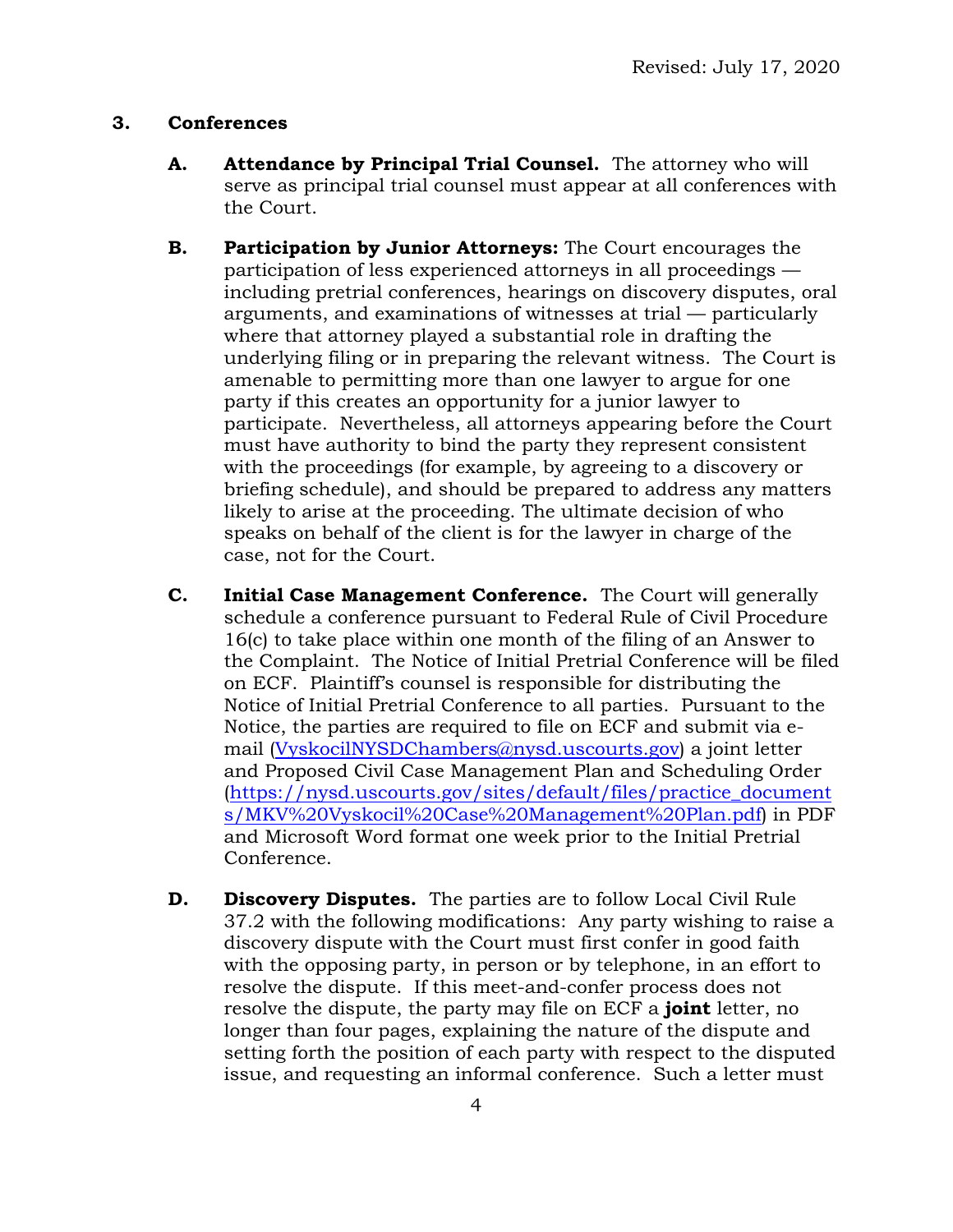# **3. Conferences**

- **A. Attendance by Principal Trial Counsel.** The attorney who will serve as principal trial counsel must appear at all conferences with the Court.
- **B. Participation by Junior Attorneys:** The Court encourages the participation of less experienced attorneys in all proceedings including pretrial conferences, hearings on discovery disputes, oral arguments, and examinations of witnesses at trial — particularly where that attorney played a substantial role in drafting the underlying filing or in preparing the relevant witness. The Court is amenable to permitting more than one lawyer to argue for one party if this creates an opportunity for a junior lawyer to participate. Nevertheless, all attorneys appearing before the Court must have authority to bind the party they represent consistent with the proceedings (for example, by agreeing to a discovery or briefing schedule), and should be prepared to address any matters likely to arise at the proceeding. The ultimate decision of who speaks on behalf of the client is for the lawyer in charge of the case, not for the Court.
- **C. Initial Case Management Conference.** The Court will generally schedule a conference pursuant to Federal Rule of Civil Procedure 16(c) to take place within one month of the filing of an Answer to the Complaint. The Notice of Initial Pretrial Conference will be filed on ECF. Plaintiff's counsel is responsible for distributing the Notice of Initial Pretrial Conference to all parties. Pursuant to the Notice, the parties are required to file on ECF and submit via email [\(VyskocilNYSDChambers@nysd.uscourts.gov\)](mailto:VyskocilNYSDChambers@nysd.uscourts.gov) a joint letter and Proposed Civil Case Management Plan and Scheduling Order [\(https://nysd.uscourts.gov/sites/default/files/practice\\_document](https://nysd.uscourts.gov/sites/default/files/practice_documents/MKV%20Vyskocil%20Case%20Management%20Plan.pdf) [s/MKV%20Vyskocil%20Case%20Management%20Plan.pdf\)](https://nysd.uscourts.gov/sites/default/files/practice_documents/MKV%20Vyskocil%20Case%20Management%20Plan.pdf) in PDF and Microsoft Word format one week prior to the Initial Pretrial Conference.
- **D. Discovery Disputes.** The parties are to follow Local Civil Rule 37.2 with the following modifications: Any party wishing to raise a discovery dispute with the Court must first confer in good faith with the opposing party, in person or by telephone, in an effort to resolve the dispute. If this meet-and-confer process does not resolve the dispute, the party may file on ECF a **joint** letter, no longer than four pages, explaining the nature of the dispute and setting forth the position of each party with respect to the disputed issue, and requesting an informal conference. Such a letter must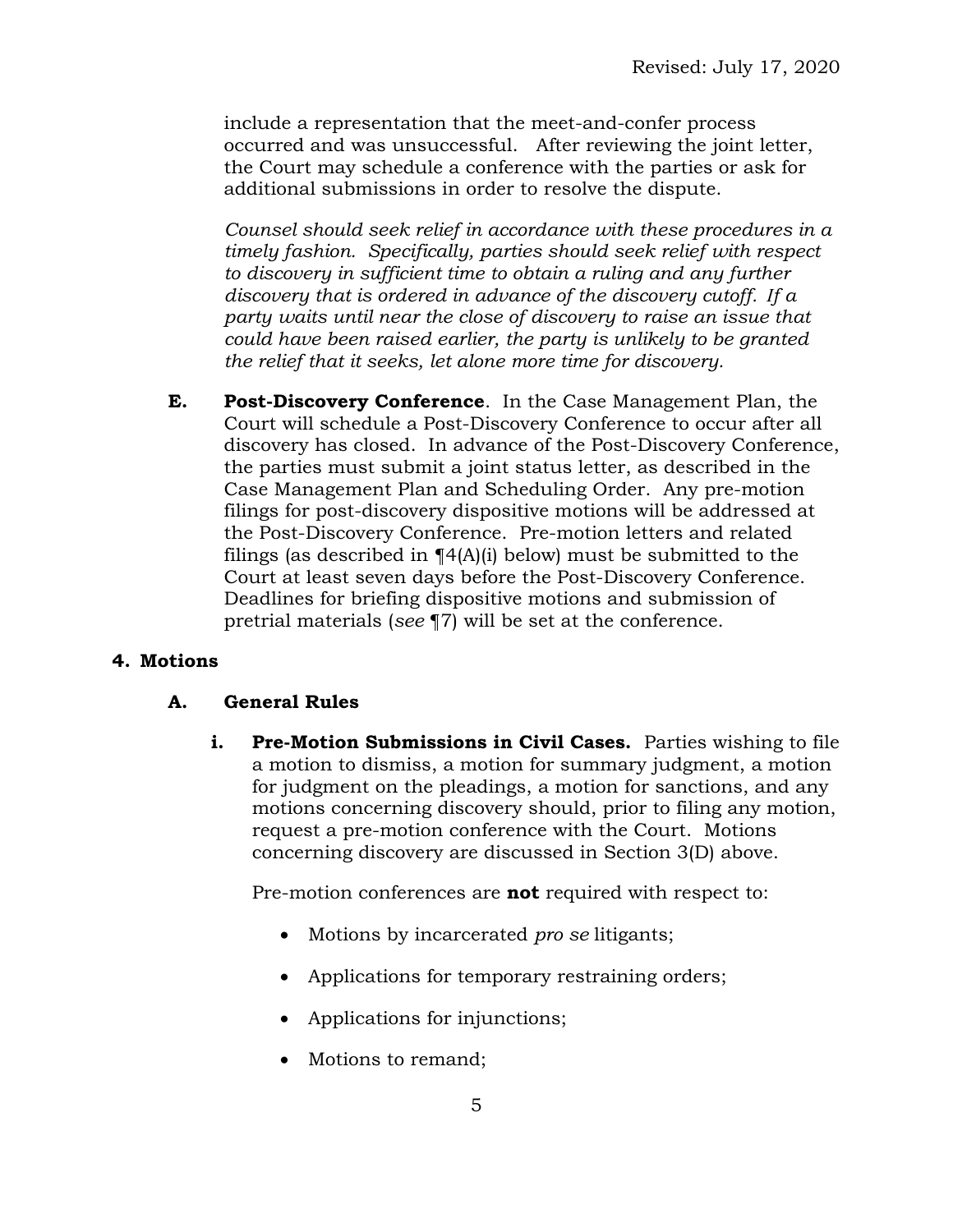include a representation that the meet-and-confer process occurred and was unsuccessful. After reviewing the joint letter, the Court may schedule a conference with the parties or ask for additional submissions in order to resolve the dispute.

*Counsel should seek relief in accordance with these procedures in a timely fashion. Specifically, parties should seek relief with respect to discovery in sufficient time to obtain a ruling and any further discovery that is ordered in advance of the discovery cutoff. If a party waits until near the close of discovery to raise an issue that could have been raised earlier, the party is unlikely to be granted the relief that it seeks, let alone more time for discovery.*

**E. Post-Discovery Conference**. In the Case Management Plan, the Court will schedule a Post-Discovery Conference to occur after all discovery has closed. In advance of the Post-Discovery Conference, the parties must submit a joint status letter, as described in the Case Management Plan and Scheduling Order. Any pre-motion filings for post-discovery dispositive motions will be addressed at the Post-Discovery Conference. Pre-motion letters and related filings (as described in  $\P$ 4(A)(i) below) must be submitted to the Court at least seven days before the Post-Discovery Conference. Deadlines for briefing dispositive motions and submission of pretrial materials (*see* ¶7) will be set at the conference.

# **4. Motions**

### **A. General Rules**

**i.** Pre-Motion Submissions in Civil Cases. Parties wishing to file a motion to dismiss, a motion for summary judgment, a motion for judgment on the pleadings, a motion for sanctions, and any motions concerning discovery should, prior to filing any motion, request a pre-motion conference with the Court. Motions concerning discovery are discussed in Section 3(D) above.

Pre-motion conferences are **not** required with respect to:

- Motions by incarcerated *pro se* litigants;
- Applications for temporary restraining orders;
- Applications for injunctions;
- Motions to remand;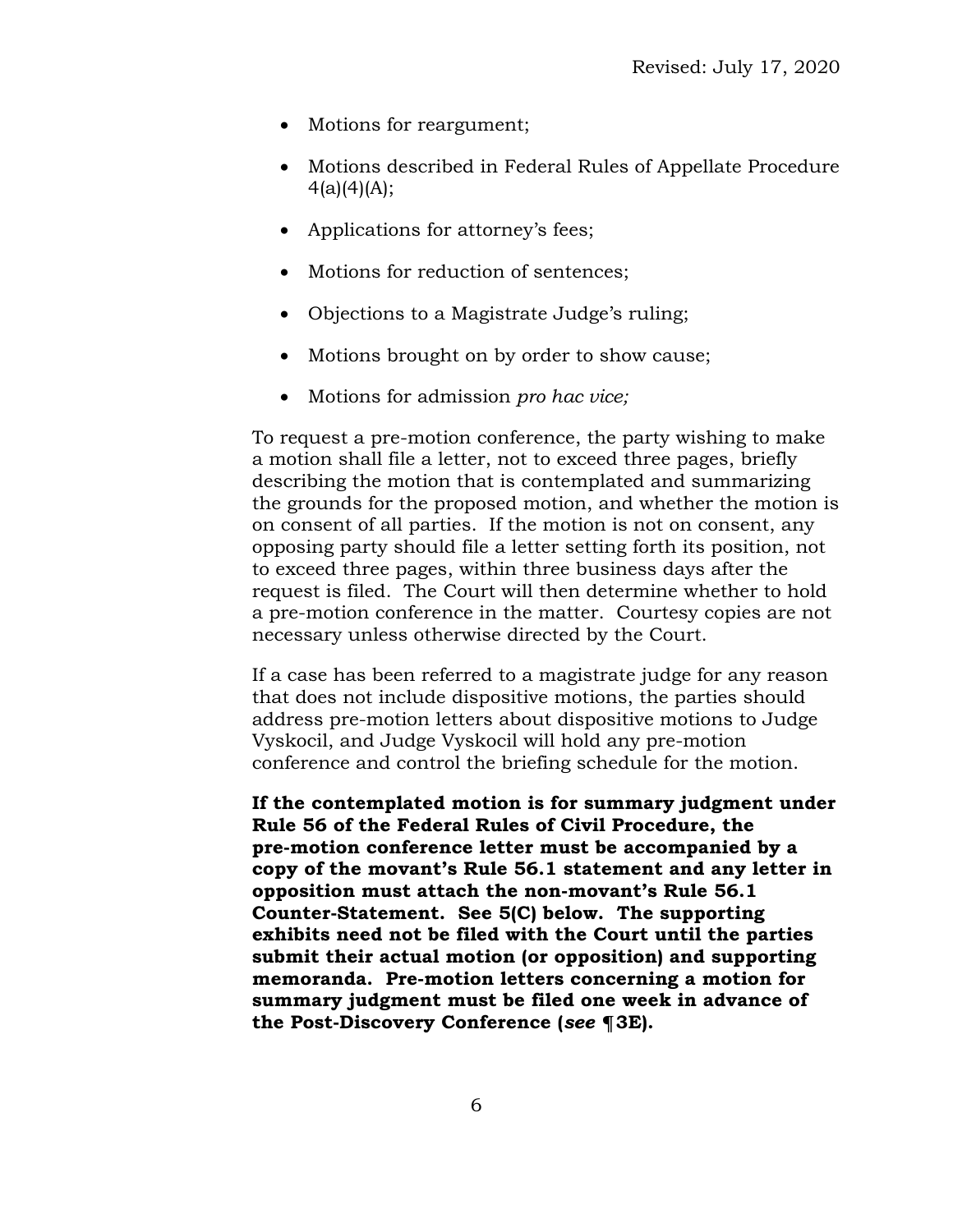- Motions for reargument;
- Motions described in Federal Rules of Appellate Procedure  $4(a)(4)(A);$
- Applications for attorney's fees;
- Motions for reduction of sentences;
- Objections to a Magistrate Judge's ruling;
- Motions brought on by order to show cause;
- Motions for admission *pro hac vice;*

To request a pre-motion conference, the party wishing to make a motion shall file a letter, not to exceed three pages, briefly describing the motion that is contemplated and summarizing the grounds for the proposed motion, and whether the motion is on consent of all parties. If the motion is not on consent, any opposing party should file a letter setting forth its position, not to exceed three pages, within three business days after the request is filed. The Court will then determine whether to hold a pre-motion conference in the matter. Courtesy copies are not necessary unless otherwise directed by the Court.

If a case has been referred to a magistrate judge for any reason that does not include dispositive motions, the parties should address pre-motion letters about dispositive motions to Judge Vyskocil, and Judge Vyskocil will hold any pre-motion conference and control the briefing schedule for the motion.

**If the contemplated motion is for summary judgment under Rule 56 of the Federal Rules of Civil Procedure, the pre-motion conference letter must be accompanied by a copy of the movant's Rule 56.1 statement and any letter in opposition must attach the non-movant's Rule 56.1 Counter-Statement. See 5(C) below. The supporting exhibits need not be filed with the Court until the parties submit their actual motion (or opposition) and supporting memoranda. Pre-motion letters concerning a motion for summary judgment must be filed one week in advance of the Post-Discovery Conference (***see* **¶3E).**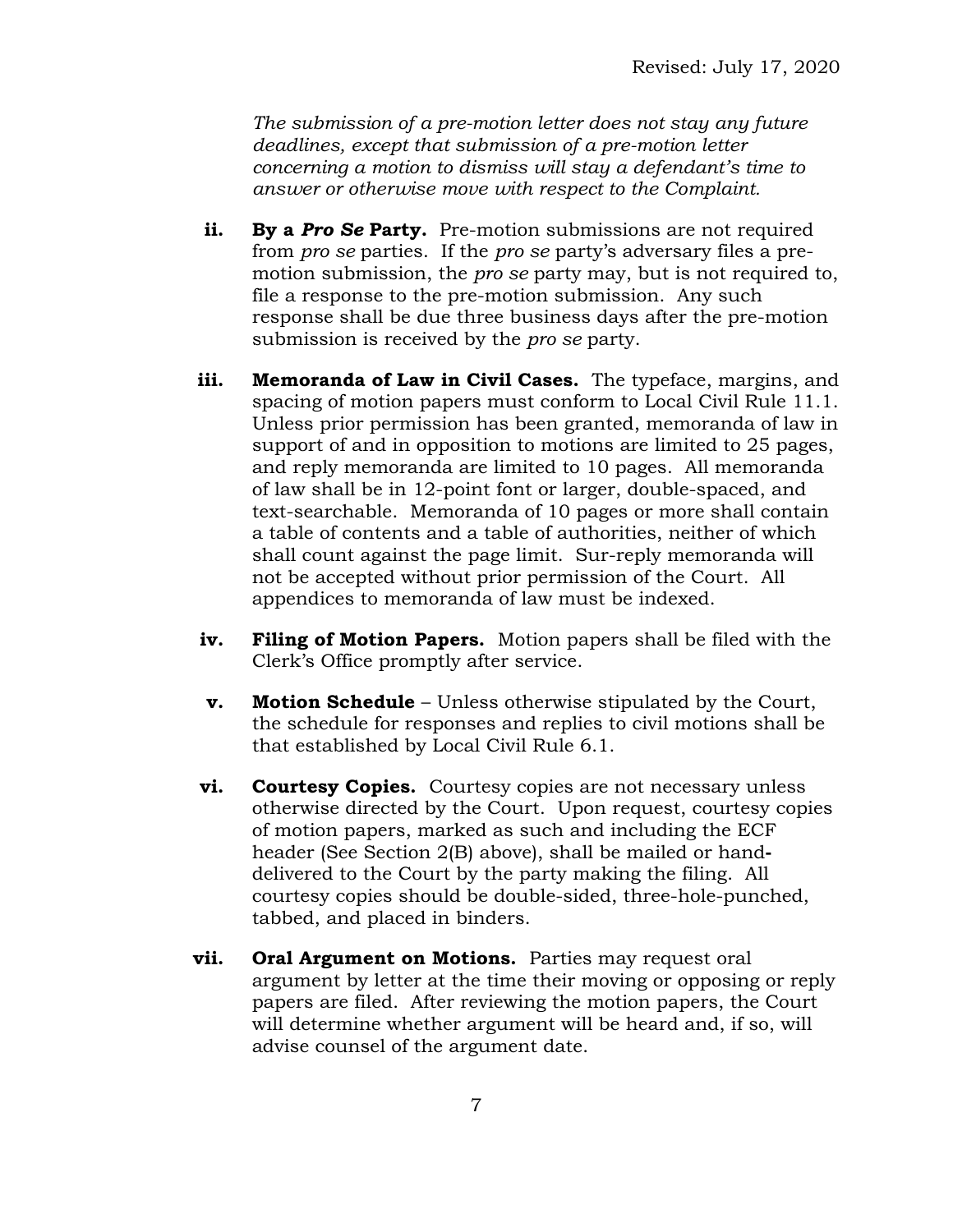*The submission of a pre-motion letter does not stay any future deadlines, except that submission of a pre-motion letter concerning a motion to dismiss will stay a defendant's time to answer or otherwise move with respect to the Complaint.* 

- **ii. By a** *Pro Se* **Party.** Pre-motion submissions are not required from *pro se* parties. If the *pro se* party's adversary files a premotion submission, the *pro se* party may, but is not required to, file a response to the pre-motion submission. Any such response shall be due three business days after the pre-motion submission is received by the *pro se* party.
- **iii. Memoranda of Law in Civil Cases.** The typeface, margins, and spacing of motion papers must conform to Local Civil Rule 11.1. Unless prior permission has been granted, memoranda of law in support of and in opposition to motions are limited to 25 pages, and reply memoranda are limited to 10 pages. All memoranda of law shall be in 12-point font or larger, double-spaced, and text-searchable. Memoranda of 10 pages or more shall contain a table of contents and a table of authorities, neither of which shall count against the page limit. Sur-reply memoranda will not be accepted without prior permission of the Court. All appendices to memoranda of law must be indexed.
- **iv. Filing of Motion Papers.** Motion papers shall be filed with the Clerk's Office promptly after service.
- **v. Motion Schedule**  Unless otherwise stipulated by the Court, the schedule for responses and replies to civil motions shall be that established by Local Civil Rule 6.1.
- **vi. Courtesy Copies.** Courtesy copies are not necessary unless otherwise directed by the Court. Upon request, courtesy copies of motion papers, marked as such and including the ECF header (See Section 2(B) above), shall be mailed or handdelivered to the Court by the party making the filing. All courtesy copies should be double-sided, three-hole-punched, tabbed, and placed in binders.
- **vii.** Oral Argument on Motions. Parties may request oral argument by letter at the time their moving or opposing or reply papers are filed. After reviewing the motion papers, the Court will determine whether argument will be heard and, if so, will advise counsel of the argument date.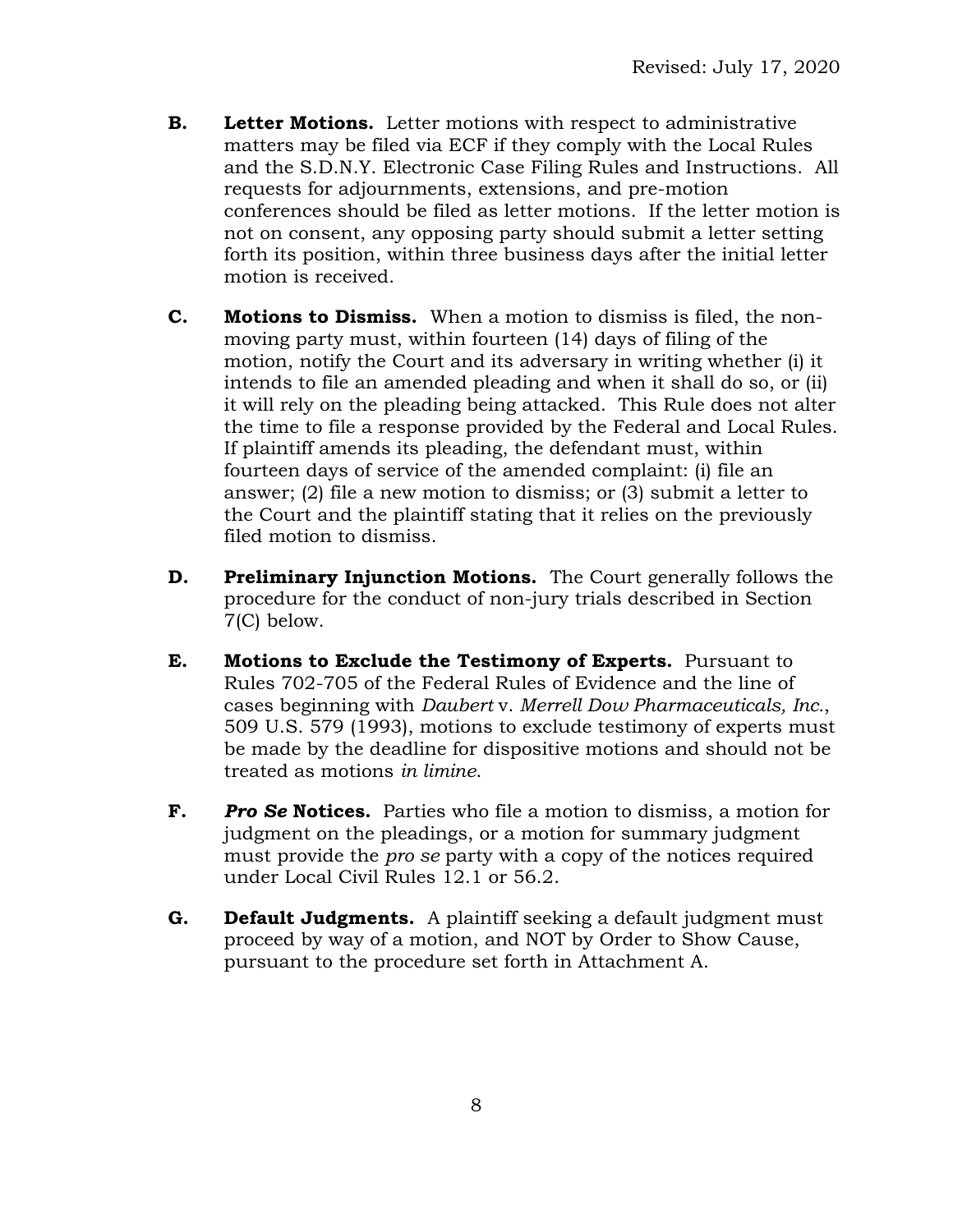- **B. Letter Motions.** Letter motions with respect to administrative matters may be filed via ECF if they comply with the Local Rules and the S.D.N.Y. Electronic Case Filing Rules and Instructions. All requests for adjournments, extensions, and pre-motion conferences should be filed as letter motions. If the letter motion is not on consent, any opposing party should submit a letter setting forth its position, within three business days after the initial letter motion is received.
- **C. Motions to Dismiss.** When a motion to dismiss is filed, the nonmoving party must, within fourteen (14) days of filing of the motion, notify the Court and its adversary in writing whether (i) it intends to file an amended pleading and when it shall do so, or (ii) it will rely on the pleading being attacked. This Rule does not alter the time to file a response provided by the Federal and Local Rules. If plaintiff amends its pleading, the defendant must, within fourteen days of service of the amended complaint: (i) file an answer; (2) file a new motion to dismiss; or (3) submit a letter to the Court and the plaintiff stating that it relies on the previously filed motion to dismiss.
- **D. Preliminary Injunction Motions.** The Court generally follows the procedure for the conduct of non-jury trials described in Section 7(C) below.
- **E. Motions to Exclude the Testimony of Experts.** Pursuant to Rules 702-705 of the Federal Rules of Evidence and the line of cases beginning with *Daubert* v. *Merrell Dow Pharmaceuticals, Inc.*, 509 U.S. 579 (1993), motions to exclude testimony of experts must be made by the deadline for dispositive motions and should not be treated as motions *in limine*.
- **F.** *Pro Se* **Notices.** Parties who file a motion to dismiss, a motion for judgment on the pleadings, or a motion for summary judgment must provide the *pro se* party with a copy of the notices required under Local Civil Rules 12.1 or 56.2.
- **G. Default Judgments.** A plaintiff seeking a default judgment must proceed by way of a motion, and NOT by Order to Show Cause, pursuant to the procedure set forth in Attachment A.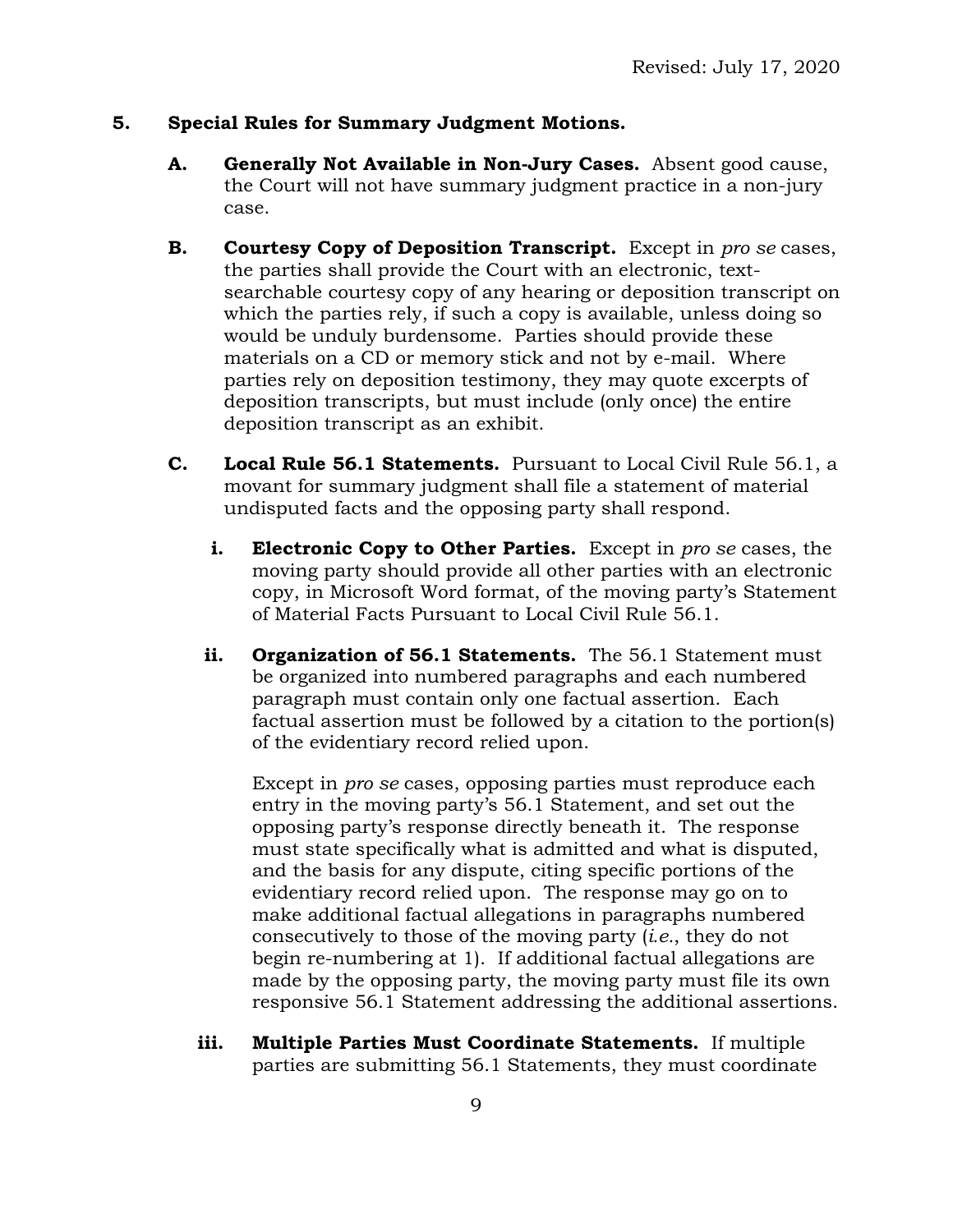#### **5. Special Rules for Summary Judgment Motions.**

- **A. Generally Not Available in Non-Jury Cases.** Absent good cause, the Court will not have summary judgment practice in a non-jury case.
- **B. Courtesy Copy of Deposition Transcript.** Except in *pro se* cases, the parties shall provide the Court with an electronic, textsearchable courtesy copy of any hearing or deposition transcript on which the parties rely, if such a copy is available, unless doing so would be unduly burdensome. Parties should provide these materials on a CD or memory stick and not by e-mail. Where parties rely on deposition testimony, they may quote excerpts of deposition transcripts, but must include (only once) the entire deposition transcript as an exhibit.
- **C. Local Rule 56.1 Statements.** Pursuant to Local Civil Rule 56.1, a movant for summary judgment shall file a statement of material undisputed facts and the opposing party shall respond.
	- **i. Electronic Copy to Other Parties.** Except in *pro se* cases, the moving party should provide all other parties with an electronic copy, in Microsoft Word format, of the moving party's Statement of Material Facts Pursuant to Local Civil Rule 56.1.
	- **ii. Organization of 56.1 Statements.** The 56.1 Statement must be organized into numbered paragraphs and each numbered paragraph must contain only one factual assertion. Each factual assertion must be followed by a citation to the portion(s) of the evidentiary record relied upon.

Except in *pro se* cases, opposing parties must reproduce each entry in the moving party's 56.1 Statement, and set out the opposing party's response directly beneath it. The response must state specifically what is admitted and what is disputed, and the basis for any dispute, citing specific portions of the evidentiary record relied upon. The response may go on to make additional factual allegations in paragraphs numbered consecutively to those of the moving party (*i.e.*, they do not begin re-numbering at 1). If additional factual allegations are made by the opposing party, the moving party must file its own responsive 56.1 Statement addressing the additional assertions.

**iii. Multiple Parties Must Coordinate Statements.** If multiple parties are submitting 56.1 Statements, they must coordinate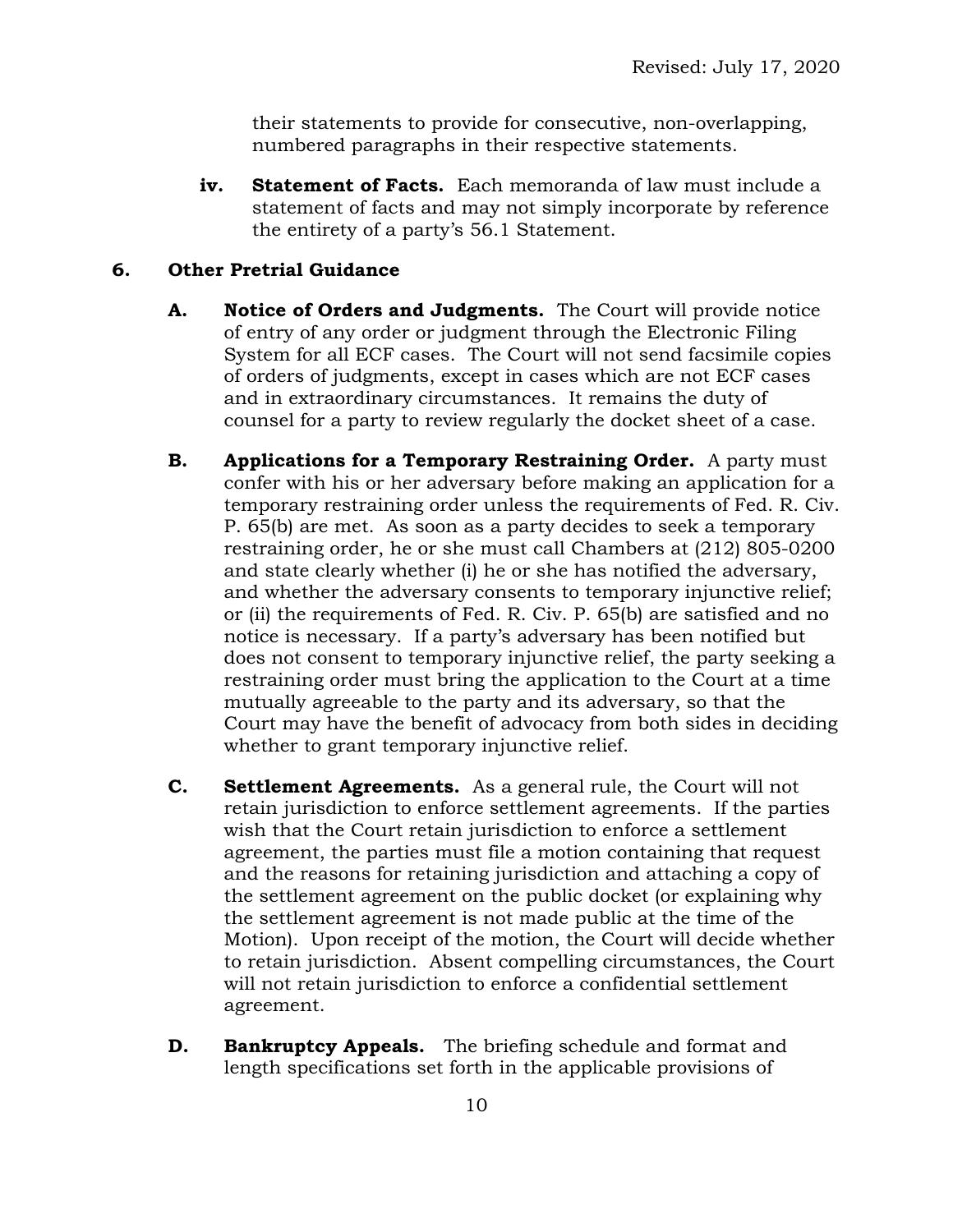their statements to provide for consecutive, non-overlapping, numbered paragraphs in their respective statements.

**iv. Statement of Facts.** Each memoranda of law must include a statement of facts and may not simply incorporate by reference the entirety of a party's 56.1 Statement.

# **6. Other Pretrial Guidance**

- **A. Notice of Orders and Judgments.** The Court will provide notice of entry of any order or judgment through the Electronic Filing System for all ECF cases. The Court will not send facsimile copies of orders of judgments, except in cases which are not ECF cases and in extraordinary circumstances. It remains the duty of counsel for a party to review regularly the docket sheet of a case.
- **B. Applications for a Temporary Restraining Order.** A party must confer with his or her adversary before making an application for a temporary restraining order unless the requirements of Fed. R. Civ. P. 65(b) are met. As soon as a party decides to seek a temporary restraining order, he or she must call Chambers at (212) 805-0200 and state clearly whether (i) he or she has notified the adversary, and whether the adversary consents to temporary injunctive relief; or (ii) the requirements of Fed. R. Civ. P. 65(b) are satisfied and no notice is necessary. If a party's adversary has been notified but does not consent to temporary injunctive relief, the party seeking a restraining order must bring the application to the Court at a time mutually agreeable to the party and its adversary, so that the Court may have the benefit of advocacy from both sides in deciding whether to grant temporary injunctive relief.
- **C. Settlement Agreements.** As a general rule, the Court will not retain jurisdiction to enforce settlement agreements. If the parties wish that the Court retain jurisdiction to enforce a settlement agreement, the parties must file a motion containing that request and the reasons for retaining jurisdiction and attaching a copy of the settlement agreement on the public docket (or explaining why the settlement agreement is not made public at the time of the Motion). Upon receipt of the motion, the Court will decide whether to retain jurisdiction. Absent compelling circumstances, the Court will not retain jurisdiction to enforce a confidential settlement agreement.
- **D. Bankruptcy Appeals.** The briefing schedule and format and length specifications set forth in the applicable provisions of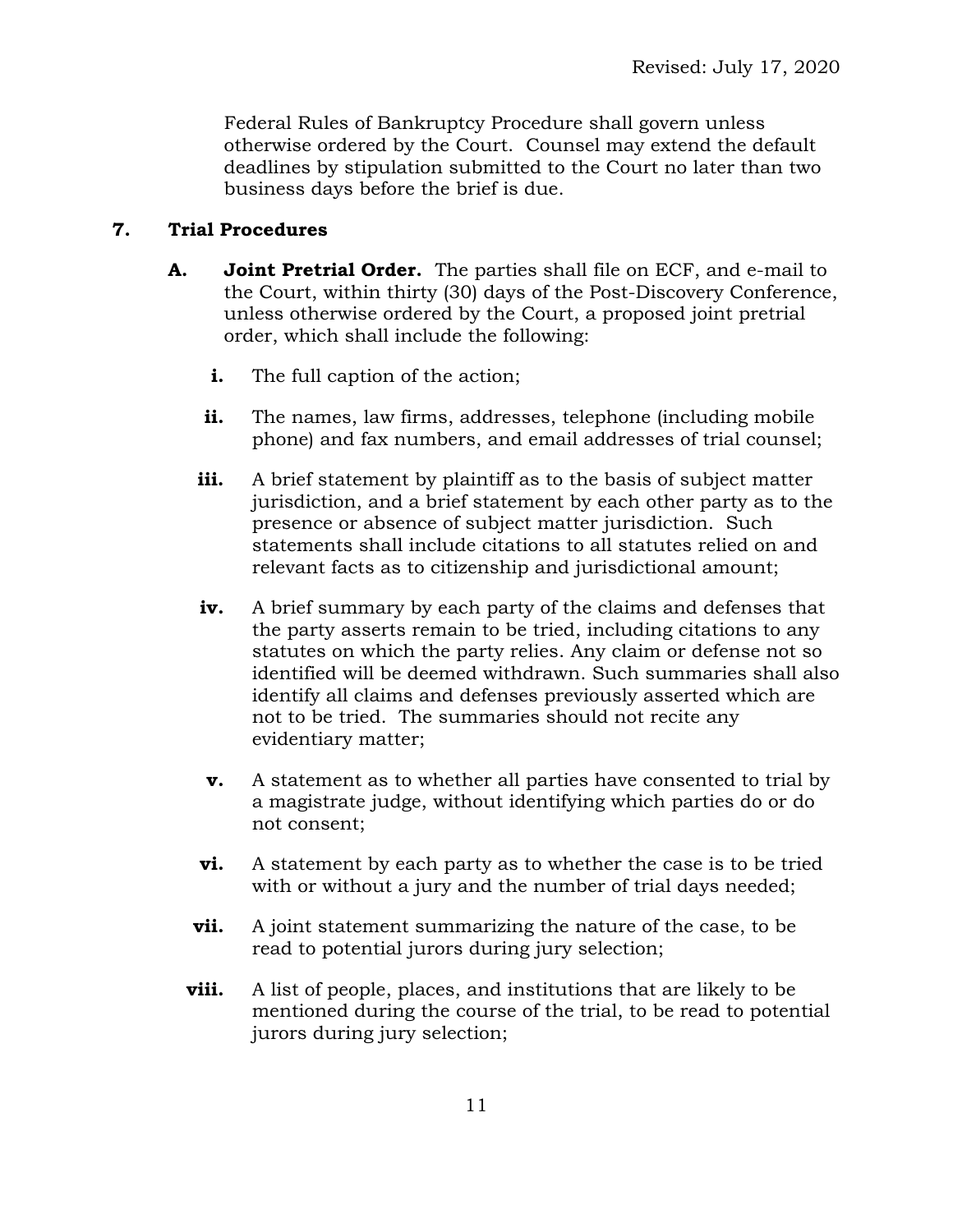Federal Rules of Bankruptcy Procedure shall govern unless otherwise ordered by the Court. Counsel may extend the default deadlines by stipulation submitted to the Court no later than two business days before the brief is due.

# **7. Trial Procedures**

- **A. Joint Pretrial Order.** The parties shall file on ECF, and e-mail to the Court, within thirty (30) days of the Post-Discovery Conference, unless otherwise ordered by the Court, a proposed joint pretrial order, which shall include the following:
	- **i.** The full caption of the action;
	- **ii.** The names, law firms, addresses, telephone (including mobile phone) and fax numbers, and email addresses of trial counsel;
	- **iii.** A brief statement by plaintiff as to the basis of subject matter jurisdiction, and a brief statement by each other party as to the presence or absence of subject matter jurisdiction. Such statements shall include citations to all statutes relied on and relevant facts as to citizenship and jurisdictional amount;
	- **iv.** A brief summary by each party of the claims and defenses that the party asserts remain to be tried, including citations to any statutes on which the party relies. Any claim or defense not so identified will be deemed withdrawn. Such summaries shall also identify all claims and defenses previously asserted which are not to be tried. The summaries should not recite any evidentiary matter;
	- **v.** A statement as to whether all parties have consented to trial by a magistrate judge, without identifying which parties do or do not consent;
	- **vi.** A statement by each party as to whether the case is to be tried with or without a jury and the number of trial days needed;
	- **vii.** A joint statement summarizing the nature of the case, to be read to potential jurors during jury selection;
	- **viii.** A list of people, places, and institutions that are likely to be mentioned during the course of the trial, to be read to potential jurors during jury selection;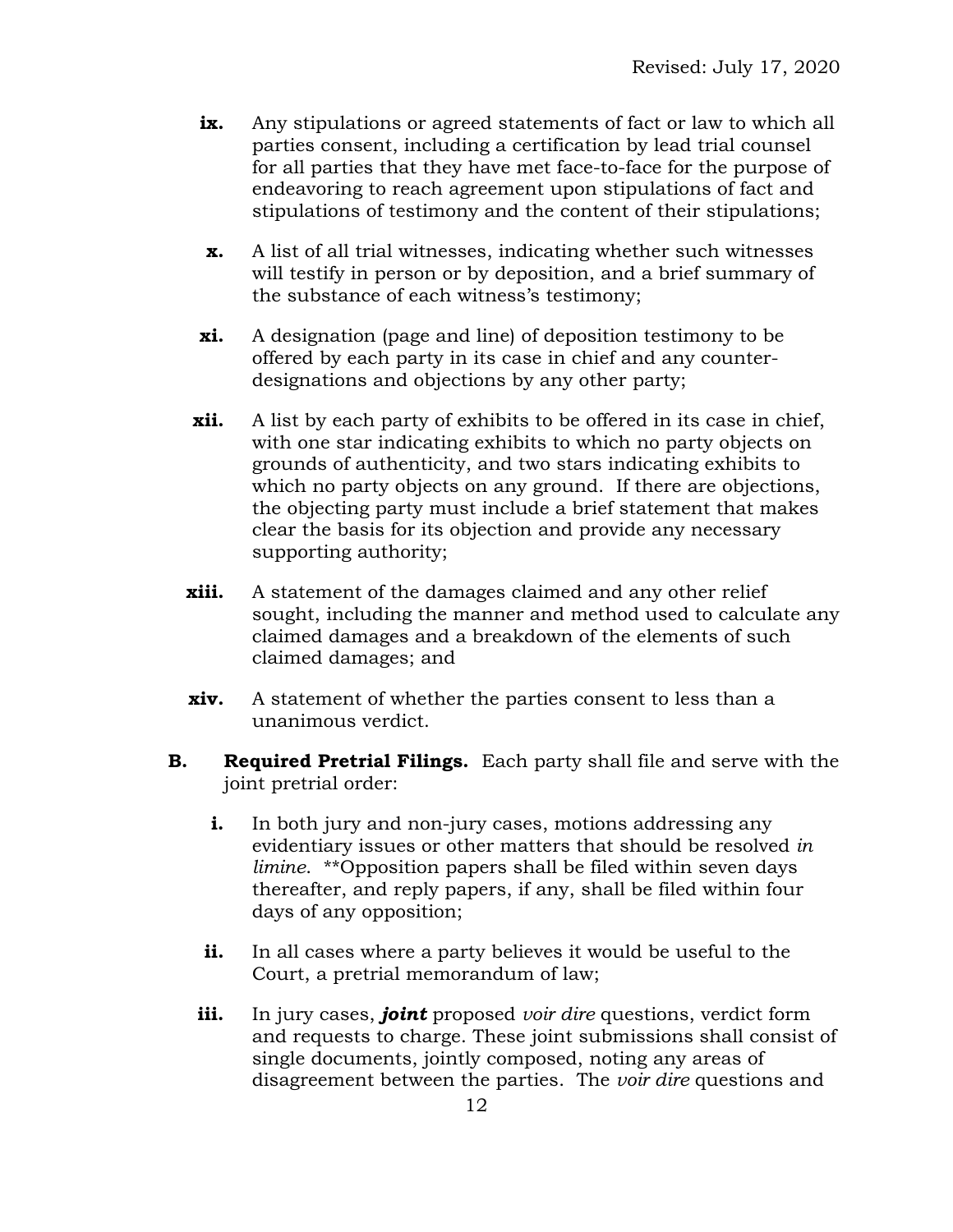- **ix.** Any stipulations or agreed statements of fact or law to which all parties consent, including a certification by lead trial counsel for all parties that they have met face-to-face for the purpose of endeavoring to reach agreement upon stipulations of fact and stipulations of testimony and the content of their stipulations;
- **x.** A list of all trial witnesses, indicating whether such witnesses will testify in person or by deposition, and a brief summary of the substance of each witness's testimony;
- **xi.** A designation (page and line) of deposition testimony to be offered by each party in its case in chief and any counterdesignations and objections by any other party;
- **xii.** A list by each party of exhibits to be offered in its case in chief, with one star indicating exhibits to which no party objects on grounds of authenticity, and two stars indicating exhibits to which no party objects on any ground. If there are objections, the objecting party must include a brief statement that makes clear the basis for its objection and provide any necessary supporting authority;
- **xiii.** A statement of the damages claimed and any other relief sought, including the manner and method used to calculate any claimed damages and a breakdown of the elements of such claimed damages; and
- **xiv.** A statement of whether the parties consent to less than a unanimous verdict.
- **B. Required Pretrial Filings.** Each party shall file and serve with the joint pretrial order:
	- **i.** In both jury and non-jury cases, motions addressing any evidentiary issues or other matters that should be resolved *in limine*. \*\*Opposition papers shall be filed within seven days thereafter, and reply papers, if any, shall be filed within four days of any opposition;
	- **ii.** In all cases where a party believes it would be useful to the Court, a pretrial memorandum of law;
	- **iii.** In jury cases, *joint* proposed *voir dire* questions, verdict form and requests to charge. These joint submissions shall consist of single documents, jointly composed, noting any areas of disagreement between the parties. The *voir dire* questions and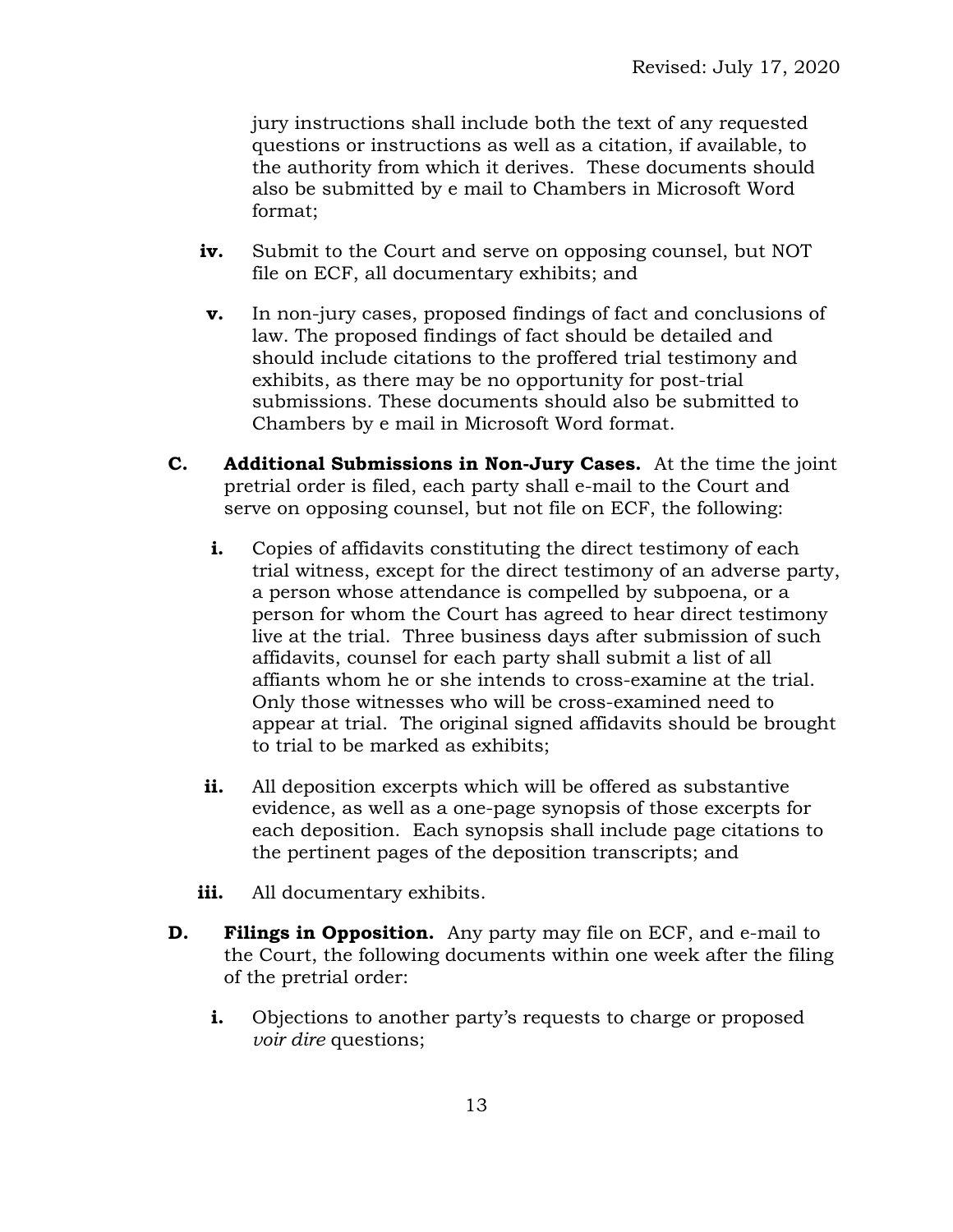jury instructions shall include both the text of any requested questions or instructions as well as a citation, if available, to the authority from which it derives. These documents should also be submitted by e mail to Chambers in Microsoft Word format;

- **iv.** Submit to the Court and serve on opposing counsel, but NOT file on ECF, all documentary exhibits; and
- **v.** In non-jury cases, proposed findings of fact and conclusions of law. The proposed findings of fact should be detailed and should include citations to the proffered trial testimony and exhibits, as there may be no opportunity for post-trial submissions. These documents should also be submitted to Chambers by e mail in Microsoft Word format.
- **C. Additional Submissions in Non-Jury Cases.** At the time the joint pretrial order is filed, each party shall e-mail to the Court and serve on opposing counsel, but not file on ECF, the following:
	- **i.** Copies of affidavits constituting the direct testimony of each trial witness, except for the direct testimony of an adverse party, a person whose attendance is compelled by subpoena, or a person for whom the Court has agreed to hear direct testimony live at the trial. Three business days after submission of such affidavits, counsel for each party shall submit a list of all affiants whom he or she intends to cross-examine at the trial. Only those witnesses who will be cross-examined need to appear at trial. The original signed affidavits should be brought to trial to be marked as exhibits;
	- **ii.** All deposition excerpts which will be offered as substantive evidence, as well as a one-page synopsis of those excerpts for each deposition. Each synopsis shall include page citations to the pertinent pages of the deposition transcripts; and
	- iii. All documentary exhibits.
- **D. Filings in Opposition.** Any party may file on ECF, and e-mail to the Court, the following documents within one week after the filing of the pretrial order:
	- **i.** Objections to another party's requests to charge or proposed *voir dire* questions;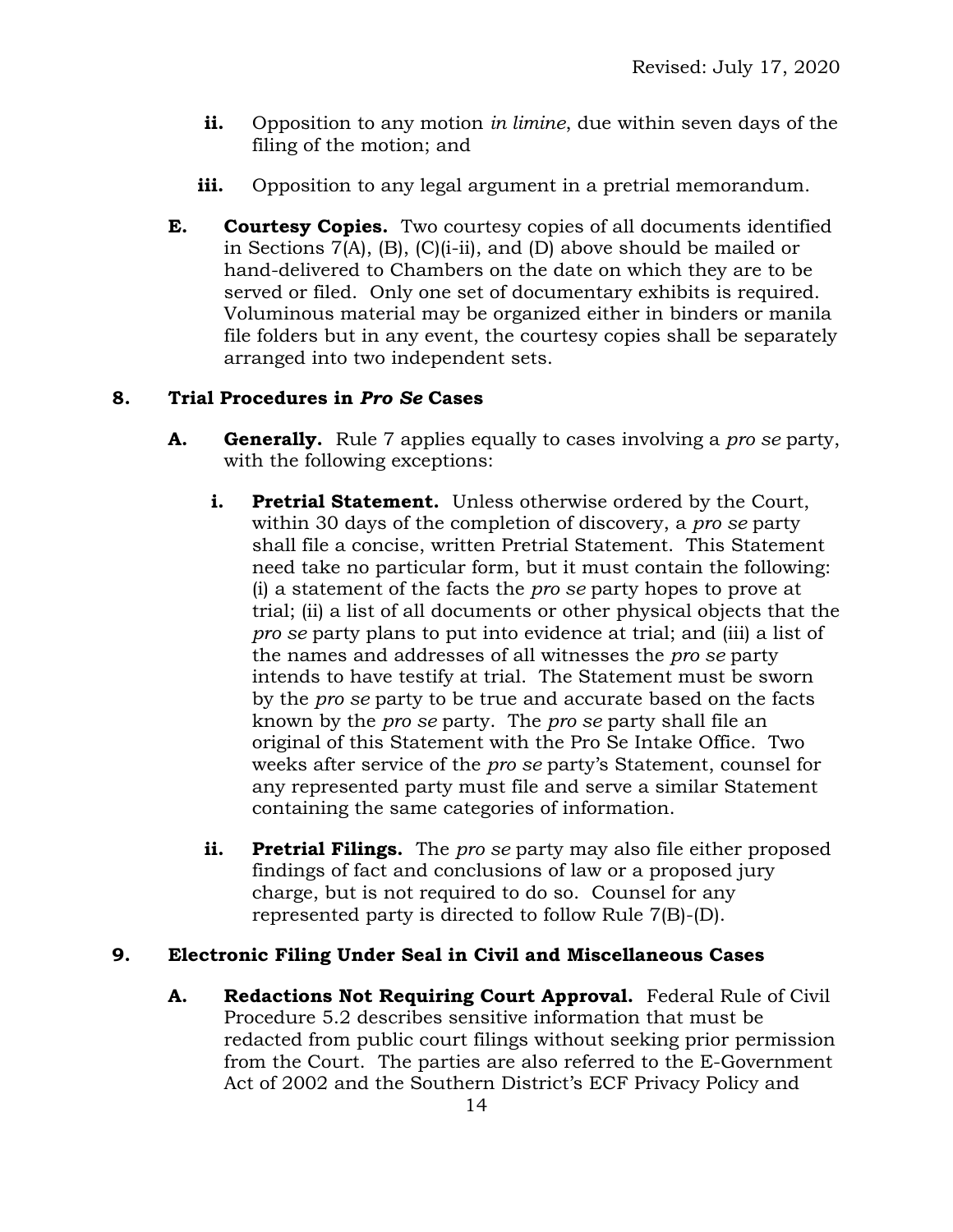- **ii.** Opposition to any motion *in limine*, due within seven days of the filing of the motion; and
- **iii.** Opposition to any legal argument in a pretrial memorandum.
- **E. Courtesy Copies.** Two courtesy copies of all documents identified in Sections 7(A), (B), (C)(i-ii), and (D) above should be mailed or hand-delivered to Chambers on the date on which they are to be served or filed. Only one set of documentary exhibits is required. Voluminous material may be organized either in binders or manila file folders but in any event, the courtesy copies shall be separately arranged into two independent sets.

# **8. Trial Procedures in** *Pro Se* **Cases**

- **A. Generally.** Rule 7 applies equally to cases involving a *pro se* party, with the following exceptions:
	- **i. Pretrial Statement.** Unless otherwise ordered by the Court, within 30 days of the completion of discovery, a *pro se* party shall file a concise, written Pretrial Statement. This Statement need take no particular form, but it must contain the following: (i) a statement of the facts the *pro se* party hopes to prove at trial; (ii) a list of all documents or other physical objects that the *pro se* party plans to put into evidence at trial; and (iii) a list of the names and addresses of all witnesses the *pro se* party intends to have testify at trial. The Statement must be sworn by the *pro se* party to be true and accurate based on the facts known by the *pro se* party. The *pro se* party shall file an original of this Statement with the Pro Se Intake Office. Two weeks after service of the *pro se* party's Statement, counsel for any represented party must file and serve a similar Statement containing the same categories of information.
	- **ii. Pretrial Filings.** The *pro se* party may also file either proposed findings of fact and conclusions of law or a proposed jury charge, but is not required to do so. Counsel for any represented party is directed to follow Rule 7(B)-(D).

### **9. Electronic Filing Under Seal in Civil and Miscellaneous Cases**

**A. Redactions Not Requiring Court Approval.** Federal Rule of Civil Procedure 5.2 describes sensitive information that must be redacted from public court filings without seeking prior permission from the Court.The parties are also referred to the E-Government Act of 2002 and the Southern District's ECF Privacy Policy and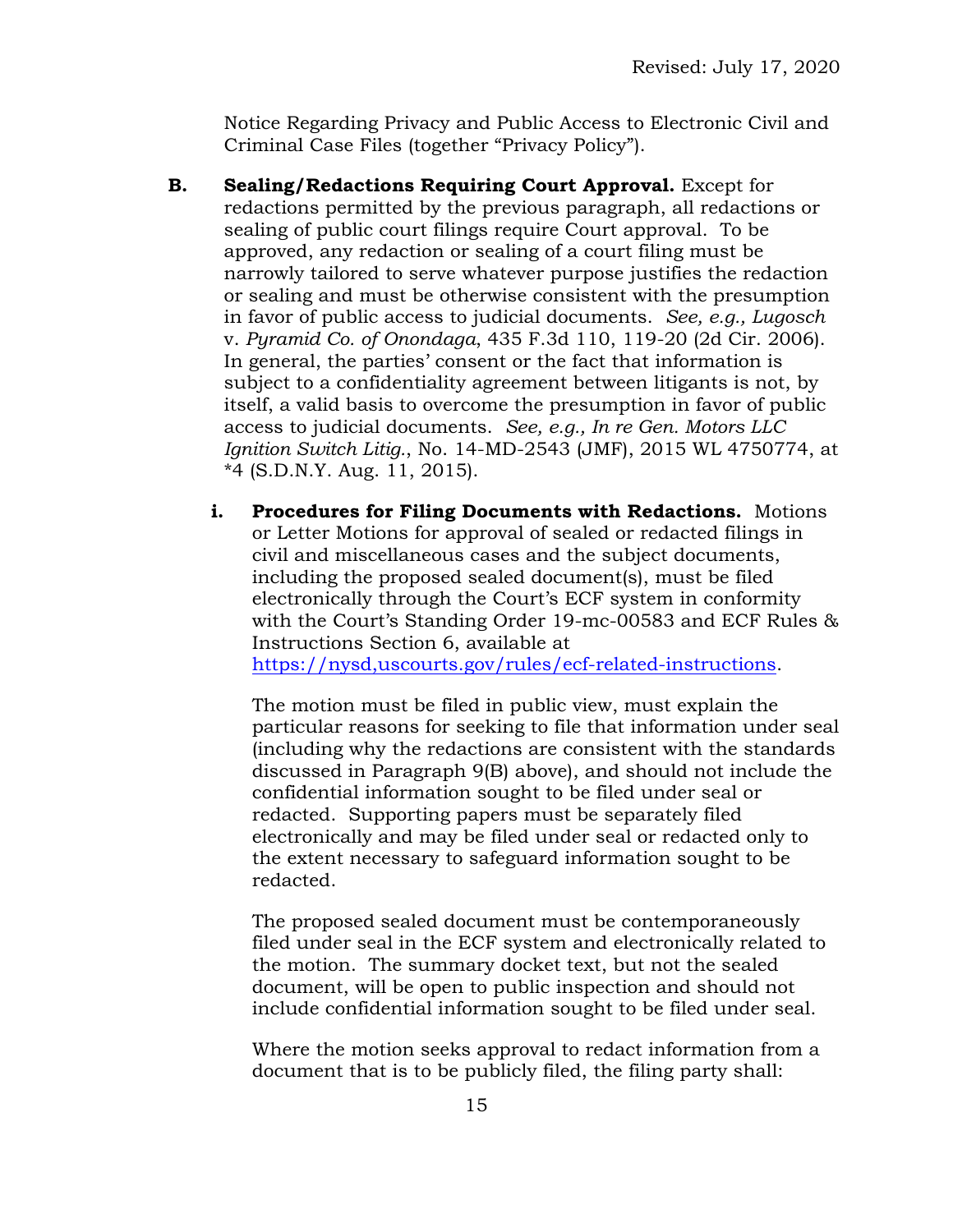Notice Regarding Privacy and Public Access to Electronic Civil and Criminal Case Files (together "Privacy Policy").

- **B. Sealing/Redactions Requiring Court Approval.** Except for redactions permitted by the previous paragraph, all redactions or sealing of public court filings require Court approval. To be approved, any redaction or sealing of a court filing must be narrowly tailored to serve whatever purpose justifies the redaction or sealing and must be otherwise consistent with the presumption in favor of public access to judicial documents. *See, e.g., Lugosch*  v. *Pyramid Co. of Onondaga*, 435 F.3d 110, 119-20 (2d Cir. 2006). In general, the parties' consent or the fact that information is subject to a confidentiality agreement between litigants is not, by itself, a valid basis to overcome the presumption in favor of public access to judicial documents. *See, e.g., In re Gen. Motors LLC Ignition Switch Litig.*, No. 14-MD-2543 (JMF), 2015 WL 4750774, at \*4 (S.D.N.Y. Aug. 11, 2015).
	- **i. Procedures for Filing Documents with Redactions.** Motions or Letter Motions for approval of sealed or redacted filings in civil and miscellaneous cases and the subject documents, including the proposed sealed document(s), must be filed electronically through the Court's ECF system in conformity with the Court's Standing Order 19-mc-00583 and ECF Rules & Instructions Section 6, available at [https://nysd,uscourts.gov/rules/ecf-related-instructions.](https://nysd,uscourts.gov/rules/ecf-related-instructions)

The motion must be filed in public view, must explain the particular reasons for seeking to file that information under seal (including why the redactions are consistent with the standards discussed in Paragraph 9(B) above), and should not include the confidential information sought to be filed under seal or redacted. Supporting papers must be separately filed electronically and may be filed under seal or redacted only to the extent necessary to safeguard information sought to be redacted.

The proposed sealed document must be contemporaneously filed under seal in the ECF system and electronically related to the motion. The summary docket text, but not the sealed document, will be open to public inspection and should not include confidential information sought to be filed under seal.

Where the motion seeks approval to redact information from a document that is to be publicly filed, the filing party shall: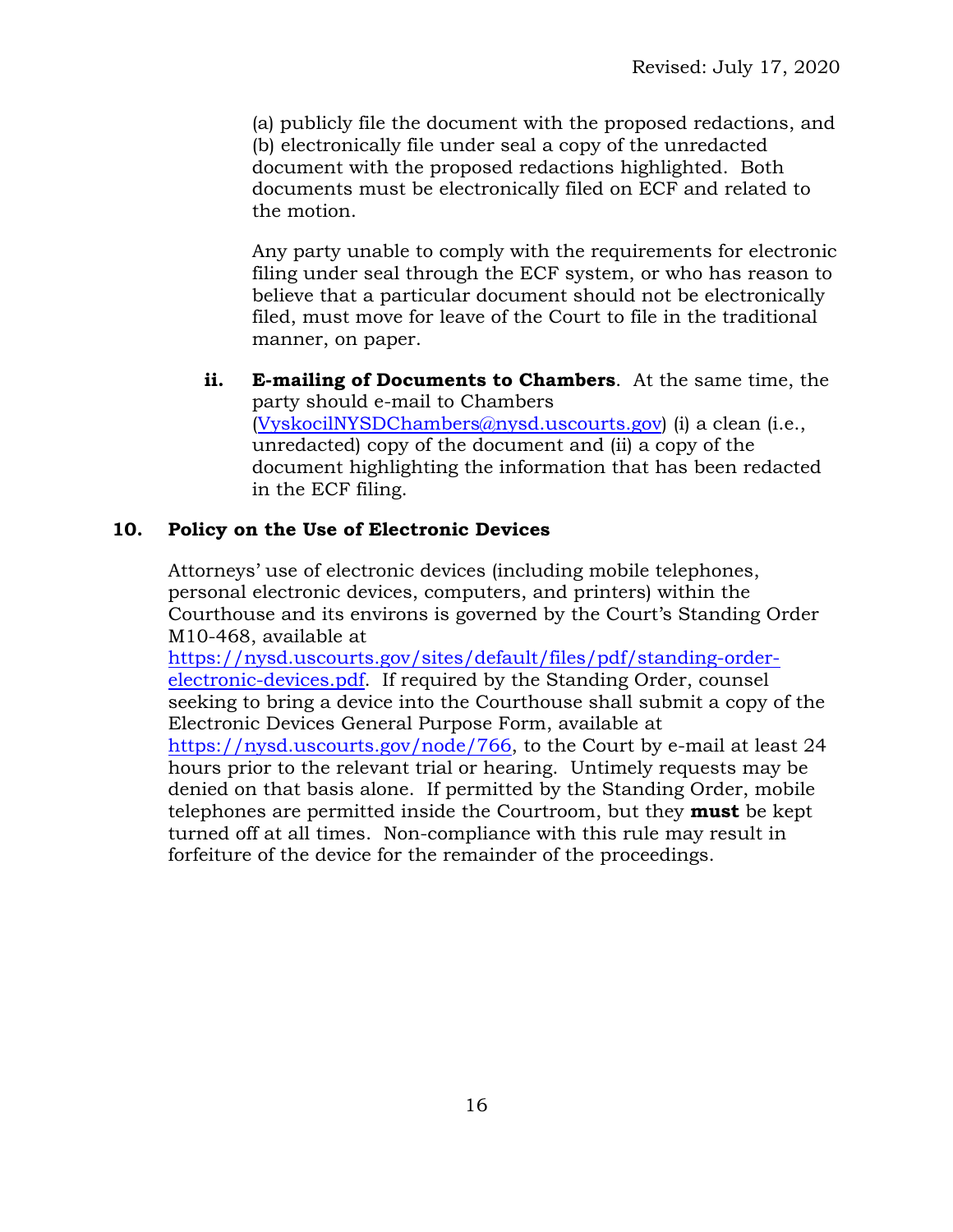(a) publicly file the document with the proposed redactions, and (b) electronically file under seal a copy of the unredacted document with the proposed redactions highlighted. Both documents must be electronically filed on ECF and related to the motion.

Any party unable to comply with the requirements for electronic filing under seal through the ECF system, or who has reason to believe that a particular document should not be electronically filed, must move for leave of the Court to file in the traditional manner, on paper.

**ii. E-mailing of Documents to Chambers**. At the same time, the party should e-mail to Chambers [\(VyskocilNYSDChambers@nysd.uscourts.gov\)](mailto:VyskocilNYSDChambers@nysd.uscourts.gov) (i) a clean (i.e., unredacted) copy of the document and (ii) a copy of the document highlighting the information that has been redacted in the ECF filing.

# **10. Policy on the Use of Electronic Devices**

Attorneys' use of electronic devices (including mobile telephones, personal electronic devices, computers, and printers) within the Courthouse and its environs is governed by the Court's Standing Order M10-468, available at

[https://nysd.uscourts.gov/sites/default/files/pdf/standing-order](https://nysd.uscourts.gov/sites/default/files/pdf/standing-order-electronic-devices.pdf)[electronic-devices.pdf.](https://nysd.uscourts.gov/sites/default/files/pdf/standing-order-electronic-devices.pdf) If required by the Standing Order, counsel seeking to bring a device into the Courthouse shall submit a copy of the Electronic Devices General Purpose Form, available at [https://nysd.uscourts.gov/node/766,](https://nysd.uscourts.gov/node/766) to the Court by e-mail at least 24 hours prior to the relevant trial or hearing. Untimely requests may be denied on that basis alone. If permitted by the Standing Order, mobile telephones are permitted inside the Courtroom, but they **must** be kept turned off at all times. Non-compliance with this rule may result in forfeiture of the device for the remainder of the proceedings.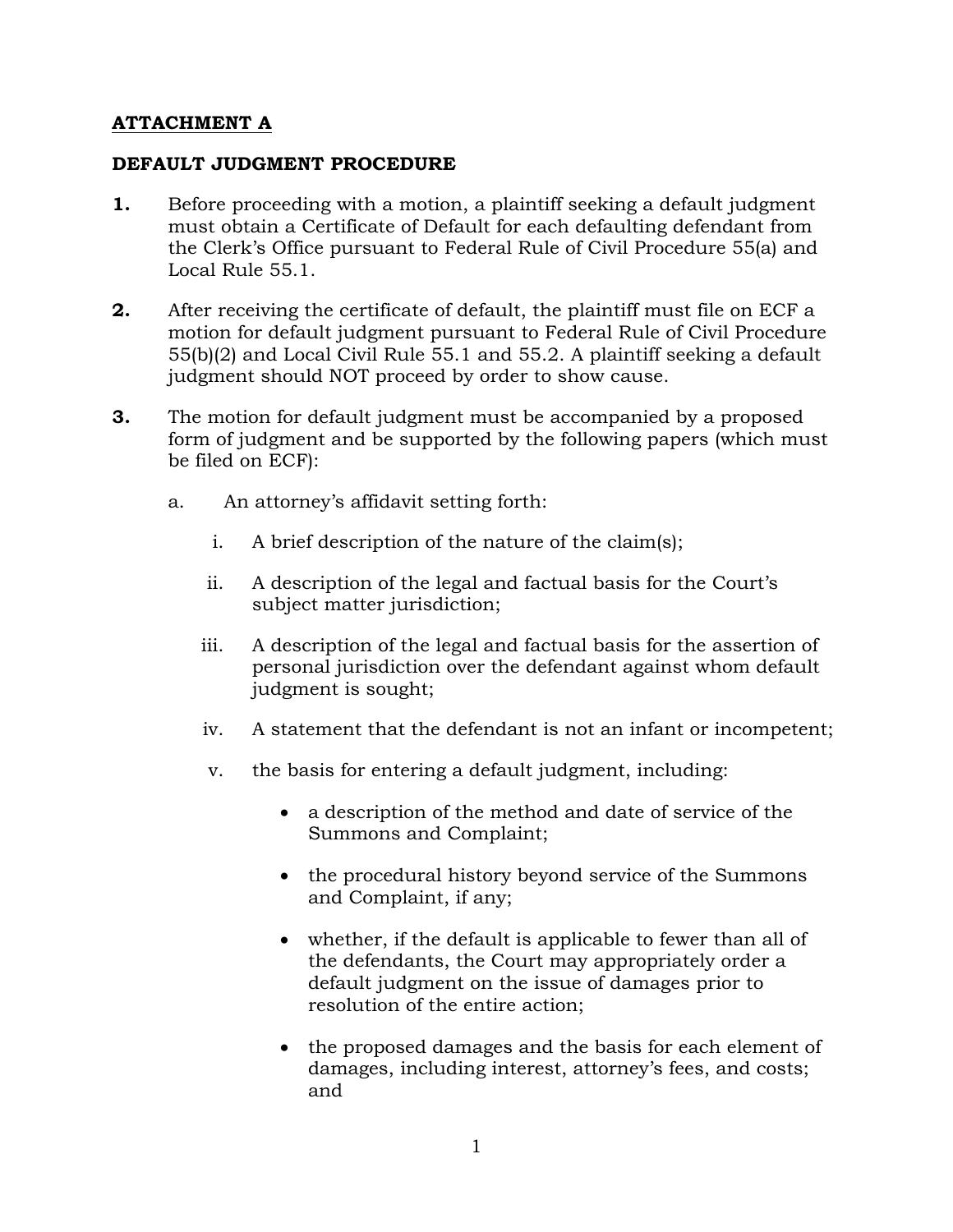# **ATTACHMENT A**

### **DEFAULT JUDGMENT PROCEDURE**

- **1.** Before proceeding with a motion, a plaintiff seeking a default judgment must obtain a Certificate of Default for each defaulting defendant from the Clerk's Office pursuant to Federal Rule of Civil Procedure 55(a) and Local Rule 55.1.
- **2.** After receiving the certificate of default, the plaintiff must file on ECF a motion for default judgment pursuant to Federal Rule of Civil Procedure 55(b)(2) and Local Civil Rule 55.1 and 55.2. A plaintiff seeking a default judgment should NOT proceed by order to show cause.
- **3.** The motion for default judgment must be accompanied by a proposed form of judgment and be supported by the following papers (which must be filed on ECF):
	- a. An attorney's affidavit setting forth:
		- i. A brief description of the nature of the claim(s);
		- ii. A description of the legal and factual basis for the Court's subject matter jurisdiction;
		- iii. A description of the legal and factual basis for the assertion of personal jurisdiction over the defendant against whom default judgment is sought;
		- iv. A statement that the defendant is not an infant or incompetent;
		- v. the basis for entering a default judgment, including:
			- a description of the method and date of service of the Summons and Complaint;
			- the procedural history beyond service of the Summons and Complaint, if any;
			- whether, if the default is applicable to fewer than all of the defendants, the Court may appropriately order a default judgment on the issue of damages prior to resolution of the entire action;
			- the proposed damages and the basis for each element of damages, including interest, attorney's fees, and costs; and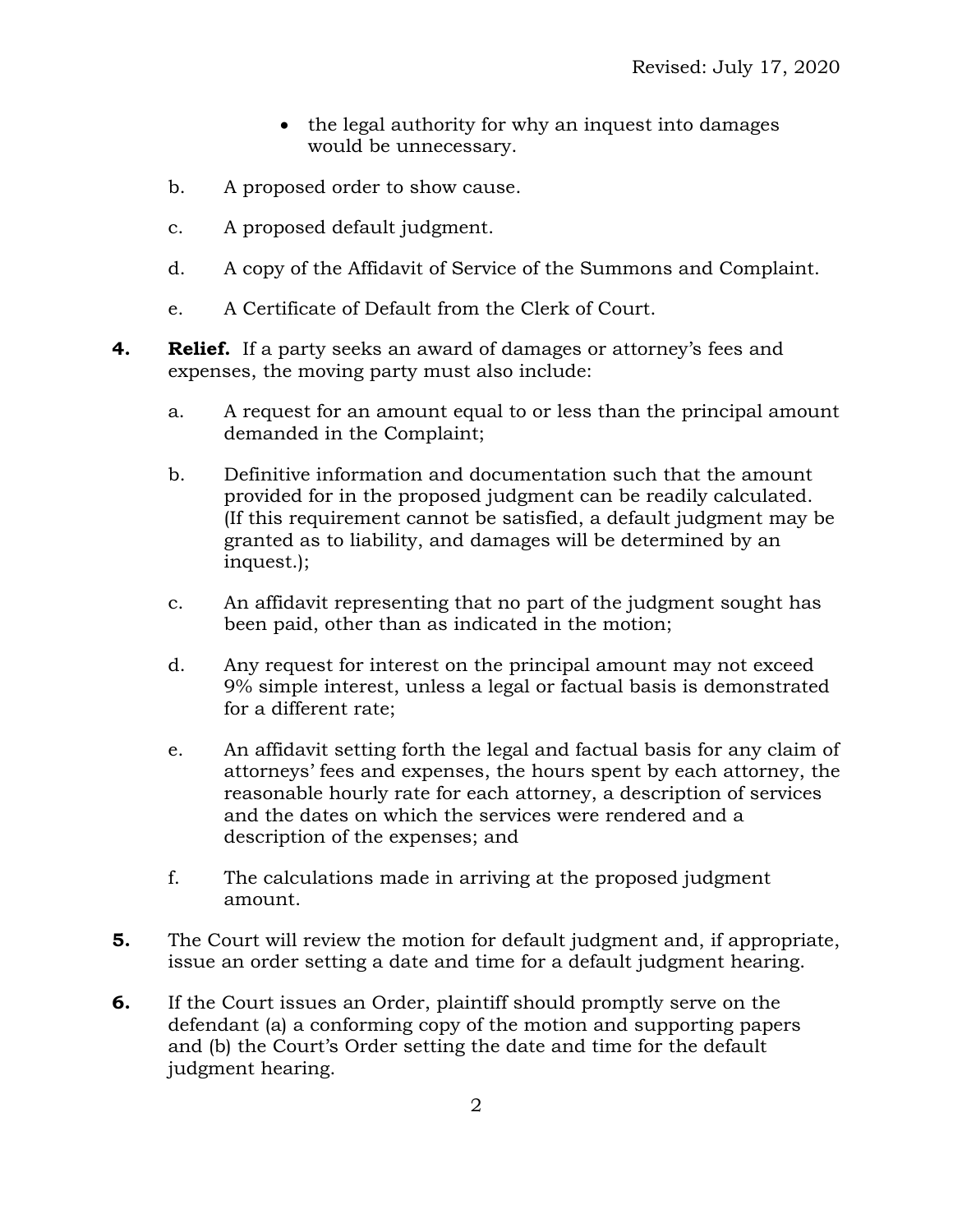- the legal authority for why an inquest into damages would be unnecessary.
- b. A proposed order to show cause.
- c. A proposed default judgment.
- d. A copy of the Affidavit of Service of the Summons and Complaint.
- e. A Certificate of Default from the Clerk of Court.
- **4. Relief.** If a party seeks an award of damages or attorney's fees and expenses, the moving party must also include:
	- a. A request for an amount equal to or less than the principal amount demanded in the Complaint;
	- b. Definitive information and documentation such that the amount provided for in the proposed judgment can be readily calculated. (If this requirement cannot be satisfied, a default judgment may be granted as to liability, and damages will be determined by an inquest.);
	- c. An affidavit representing that no part of the judgment sought has been paid, other than as indicated in the motion;
	- d. Any request for interest on the principal amount may not exceed 9% simple interest, unless a legal or factual basis is demonstrated for a different rate;
	- e. An affidavit setting forth the legal and factual basis for any claim of attorneys' fees and expenses, the hours spent by each attorney, the reasonable hourly rate for each attorney, a description of services and the dates on which the services were rendered and a description of the expenses; and
	- f. The calculations made in arriving at the proposed judgment amount.
- **5.** The Court will review the motion for default judgment and, if appropriate, issue an order setting a date and time for a default judgment hearing.
- **6.** If the Court issues an Order, plaintiff should promptly serve on the defendant (a) a conforming copy of the motion and supporting papers and (b) the Court's Order setting the date and time for the default judgment hearing.